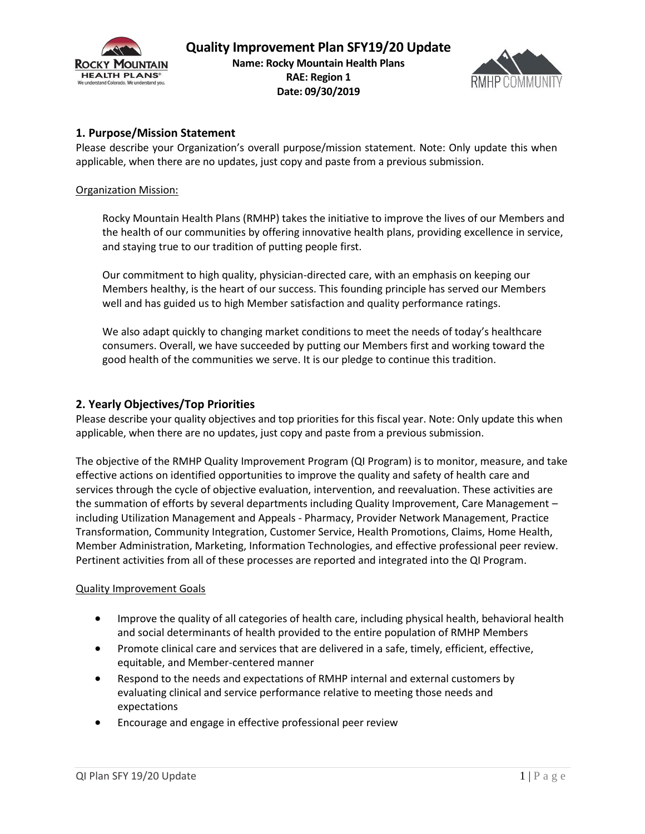



# **1. Purpose/Mission Statement**

Please describe your Organization's overall purpose/mission statement. Note: Only update this when applicable, when there are no updates, just copy and paste from a previous submission.

### Organization Mission:

Rocky Mountain Health Plans (RMHP) takes the initiative to improve the lives of our Members and the health of our communities by offering innovative health plans, providing excellence in service, and staying true to our tradition of putting people first.

Our commitment to high quality, physician-directed care, with an emphasis on keeping our Members healthy, is the heart of our success. This founding principle has served our Members well and has guided us to high Member satisfaction and quality performance ratings.

We also adapt quickly to changing market conditions to meet the needs of today's healthcare consumers. Overall, we have succeeded by putting our Members first and working toward the good health of the communities we serve. It is our pledge to continue this tradition.

## **2. Yearly Objectives/Top Priorities**

Please describe your quality objectives and top priorities for this fiscal year. Note: Only update this when applicable, when there are no updates, just copy and paste from a previous submission.

The objective of the RMHP Quality Improvement Program (QI Program) is to monitor, measure, and take effective actions on identified opportunities to improve the quality and safety of health care and services through the cycle of objective evaluation, intervention, and reevaluation. These activities are the summation of efforts by several departments including Quality Improvement, Care Management – including Utilization Management and Appeals - Pharmacy, Provider Network Management, Practice Transformation, Community Integration, Customer Service, Health Promotions, Claims, Home Health, Member Administration, Marketing, Information Technologies, and effective professional peer review. Pertinent activities from all of these processes are reported and integrated into the QI Program.

## Quality Improvement Goals

- Improve the quality of all categories of health care, including physical health, behavioral health and social determinants of health provided to the entire population of RMHP Members
- Promote clinical care and services that are delivered in a safe, timely, efficient, effective, equitable, and Member-centered manner
- Respond to the needs and expectations of RMHP internal and external customers by evaluating clinical and service performance relative to meeting those needs and expectations
- Encourage and engage in effective professional peer review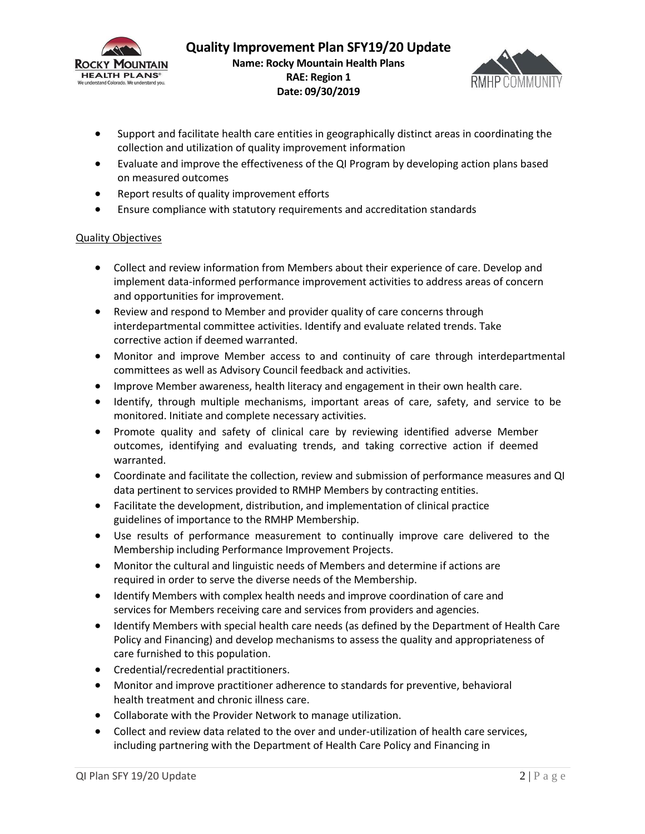



- Support and facilitate health care entities in geographically distinct areas in coordinating the collection and utilization of quality improvement information
- Evaluate and improve the effectiveness of the QI Program by developing action plans based on measured outcomes
- Report results of quality improvement efforts
- Ensure compliance with statutory requirements and accreditation standards

### Quality Objectives

- Collect and review information from Members about their experience of care. Develop and implement data-informed performance improvement activities to address areas of concern and opportunities for improvement.
- Review and respond to Member and provider quality of care concerns through interdepartmental committee activities. Identify and evaluate related trends. Take corrective action if deemed warranted.
- Monitor and improve Member access to and continuity of care through interdepartmental committees as well as Advisory Council feedback and activities.
- Improve Member awareness, health literacy and engagement in their own health care.
- Identify, through multiple mechanisms, important areas of care, safety, and service to be monitored. Initiate and complete necessary activities.
- Promote quality and safety of clinical care by reviewing identified adverse Member outcomes, identifying and evaluating trends, and taking corrective action if deemed warranted.
- Coordinate and facilitate the collection, review and submission of performance measures and QI data pertinent to services provided to RMHP Members by contracting entities.
- Facilitate the development, distribution, and implementation of clinical practice guidelines of importance to the RMHP Membership.
- Use results of performance measurement to continually improve care delivered to the Membership including Performance Improvement Projects.
- Monitor the cultural and linguistic needs of Members and determine if actions are required in order to serve the diverse needs of the Membership.
- Identify Members with complex health needs and improve coordination of care and services for Members receiving care and services from providers and agencies.
- Identify Members with special health care needs (as defined by the Department of Health Care Policy and Financing) and develop mechanisms to assess the quality and appropriateness of care furnished to this population.
- Credential/recredential practitioners.
- Monitor and improve practitioner adherence to standards for preventive, behavioral health treatment and chronic illness care.
- Collaborate with the Provider Network to manage utilization.
- Collect and review data related to the over and under-utilization of health care services, including partnering with the Department of Health Care Policy and Financing in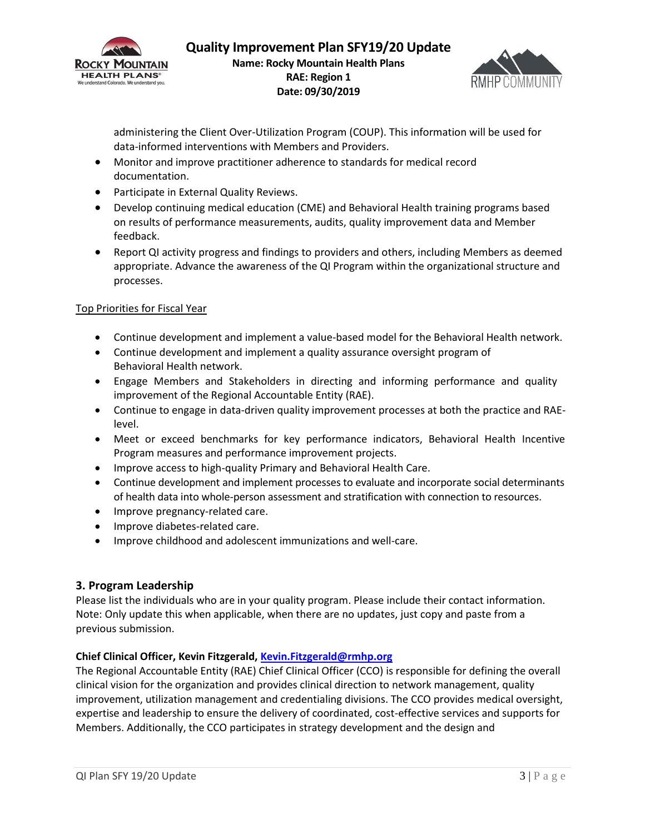



administering the Client Over-Utilization Program (COUP). This information will be used for data-informed interventions with Members and Providers.

- Monitor and improve practitioner adherence to standards for medical record documentation.
- **•** Participate in External Quality Reviews.
- Develop continuing medical education (CME) and Behavioral Health training programs based on results of performance measurements, audits, quality improvement data and Member feedback.
- Report QI activity progress and findings to providers and others, including Members as deemed appropriate. Advance the awareness of the QI Program within the organizational structure and processes.

## Top Priorities for Fiscal Year

- Continue development and implement a value-based model for the Behavioral Health network.
- Continue development and implement a quality assurance oversight program of Behavioral Health network.
- Engage Members and Stakeholders in directing and informing performance and quality improvement of the Regional Accountable Entity (RAE).
- Continue to engage in data-driven quality improvement processes at both the practice and RAElevel.
- Meet or exceed benchmarks for key performance indicators, Behavioral Health Incentive Program measures and performance improvement projects.
- Improve access to high-quality Primary and Behavioral Health Care.
- Continue development and implement processes to evaluate and incorporate social determinants of health data into whole-person assessment and stratification with connection to resources.
- Improve pregnancy-related care.
- Improve diabetes-related care.
- Improve childhood and adolescent immunizations and well-care.

## **3. Program Leadership**

Please list the individuals who are in your quality program. Please include their contact information. Note: Only update this when applicable, when there are no updates, just copy and paste from a previous submission.

## **Chief Clinical Officer, Kevin Fitzgerald, [Kevin.Fitzgerald@rmhp.org](mailto:Kevin.Fitzgerald@rmhp.org)**

The Regional Accountable Entity (RAE) Chief Clinical Officer (CCO) is responsible for defining the overall clinical vision for the organization and provides clinical direction to network management, quality improvement, utilization management and credentialing divisions. The CCO provides medical oversight, expertise and leadership to ensure the delivery of coordinated, cost-effective services and supports for Members. Additionally, the CCO participates in strategy development and the design and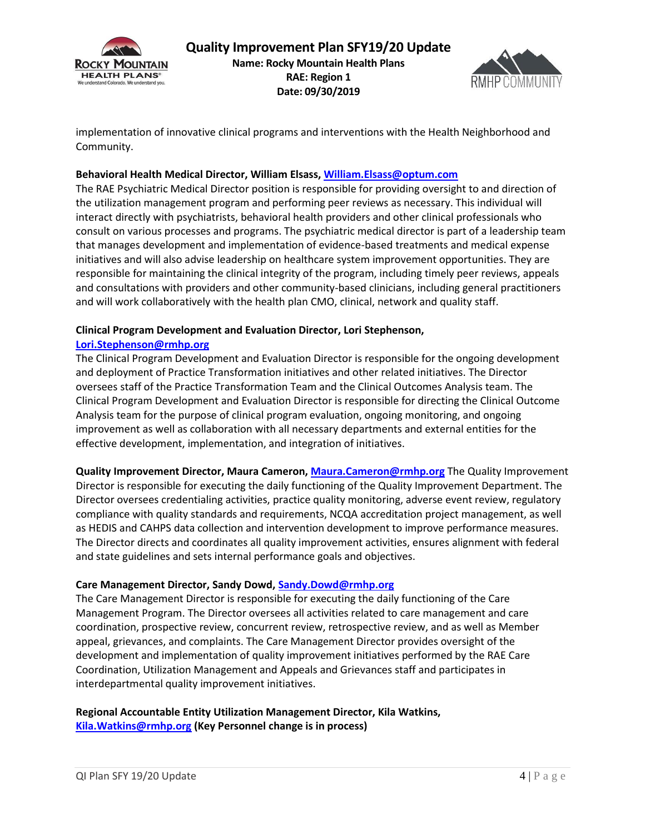



implementation of innovative clinical programs and interventions with the Health Neighborhood and Community.

### **Behavioral Health Medical Director, William Elsass, William.Elsass@optum.com**

The RAE Psychiatric Medical Director position is responsible for providing oversight to and direction of the utilization management program and performing peer reviews as necessary. This individual will interact directly with psychiatrists, behavioral health providers and other clinical professionals who consult on various processes and programs. The psychiatric medical director is part of a leadership team that manages development and implementation of evidence-based treatments and medical expense initiatives and will also advise leadership on healthcare system improvement opportunities. They are responsible for maintaining the clinical integrity of the program, including timely peer reviews, appeals and consultations with providers and other community-based clinicians, including general practitioners and will work collaboratively with the health plan CMO, clinical, network and quality staff.

#### **Clinical Program Development and Evaluation Director, Lori Stephenson,**

#### **[Lori.Stephenson@rmhp.org](mailto:Lori.Stephenson@rmhp.org)**

The Clinical Program Development and Evaluation Director is responsible for the ongoing development and deployment of Practice Transformation initiatives and other related initiatives. The Director oversees staff of the Practice Transformation Team and the Clinical Outcomes Analysis team. The Clinical Program Development and Evaluation Director is responsible for directing the Clinical Outcome Analysis team for the purpose of clinical program evaluation, ongoing monitoring, and ongoing improvement as well as collaboration with all necessary departments and external entities for the effective development, implementation, and integration of initiatives.

**Quality Improvement Director, Maura Cameron, [Maura.Cameron@rmhp.org](mailto:Maura.Cameron@rmhp.org)** The Quality Improvement Director is responsible for executing the daily functioning of the Quality Improvement Department. The Director oversees credentialing activities, practice quality monitoring, adverse event review, regulatory compliance with quality standards and requirements, NCQA accreditation project management, as well as HEDIS and CAHPS data collection and intervention development to improve performance measures. The Director directs and coordinates all quality improvement activities, ensures alignment with federal and state guidelines and sets internal performance goals and objectives.

#### **Care Management Director, Sandy Dowd, [Sandy.Dowd@rmhp.org](mailto:Sandy.Dowd@rmhp.org)**

The Care Management Director is responsible for executing the daily functioning of the Care Management Program. The Director oversees all activities related to care management and care coordination, prospective review, concurrent review, retrospective review, and as well as Member appeal, grievances, and complaints. The Care Management Director provides oversight of the development and implementation of quality improvement initiatives performed by the RAE Care Coordination, Utilization Management and Appeals and Grievances staff and participates in interdepartmental quality improvement initiatives.

## **Regional Accountable Entity Utilization Management Director, Kila Watkins, [Kila.Watkins@rmhp.org](mailto:Kila.Watkins@rmhp.org) (Key Personnel change is in process)**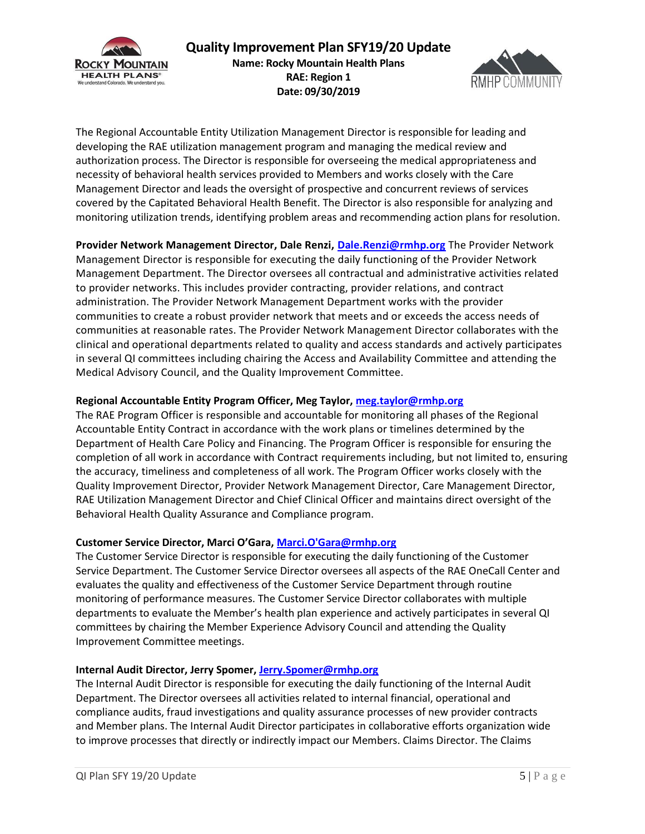

# **Quality Improvement Plan SFY19/20 Update Name: Rocky Mountain Health Plans RAE: Region 1 Date: 09/30/2019**



The Regional Accountable Entity Utilization Management Director is responsible for leading and developing the RAE utilization management program and managing the medical review and authorization process. The Director is responsible for overseeing the medical appropriateness and necessity of behavioral health services provided to Members and works closely with the Care Management Director and leads the oversight of prospective and concurrent reviews of services covered by the Capitated Behavioral Health Benefit. The Director is also responsible for analyzing and monitoring utilization trends, identifying problem areas and recommending action plans for resolution.

**Provider Network Management Director, Dale Renzi, [Dale.Renzi@rmhp.org](mailto:Dale.Renzi@rmhp.org)** The Provider Network Management Director is responsible for executing the daily functioning of the Provider Network Management Department. The Director oversees all contractual and administrative activities related to provider networks. This includes provider contracting, provider relations, and contract administration. The Provider Network Management Department works with the provider communities to create a robust provider network that meets and or exceeds the access needs of communities at reasonable rates. The Provider Network Management Director collaborates with the clinical and operational departments related to quality and access standards and actively participates in several QI committees including chairing the Access and Availability Committee and attending the Medical Advisory Council, and the Quality Improvement Committee.

### **Regional Accountable Entity Program Officer, Meg Taylor, [meg.taylor@rmhp.org](mailto:meg.taylor@rmhp.org)**

The RAE Program Officer is responsible and accountable for monitoring all phases of the Regional Accountable Entity Contract in accordance with the work plans or timelines determined by the Department of Health Care Policy and Financing. The Program Officer is responsible for ensuring the completion of all work in accordance with Contract requirements including, but not limited to, ensuring the accuracy, timeliness and completeness of all work. The Program Officer works closely with the Quality Improvement Director, Provider Network Management Director, Care Management Director, RAE Utilization Management Director and Chief Clinical Officer and maintains direct oversight of the Behavioral Health Quality Assurance and Compliance program.

## **Customer Service Director, Marci O'Gara, [Marci.O'Gara@rmhp.org](mailto:Marci.O)**

The Customer Service Director is responsible for executing the daily functioning of the Customer Service Department. The Customer Service Director oversees all aspects of the RAE OneCall Center and evaluates the quality and effectiveness of the Customer Service Department through routine monitoring of performance measures. The Customer Service Director collaborates with multiple departments to evaluate the Member's health plan experience and actively participates in several QI committees by chairing the Member Experience Advisory Council and attending the Quality Improvement Committee meetings.

#### **Internal Audit Director, Jerry Spomer, [Jerry.Spomer@rmhp.org](mailto:Jerry.Spomer@rmhp.org)**

The Internal Audit Director is responsible for executing the daily functioning of the Internal Audit Department. The Director oversees all activities related to internal financial, operational and compliance audits, fraud investigations and quality assurance processes of new provider contracts and Member plans. The Internal Audit Director participates in collaborative efforts organization wide to improve processes that directly or indirectly impact our Members. Claims Director. The Claims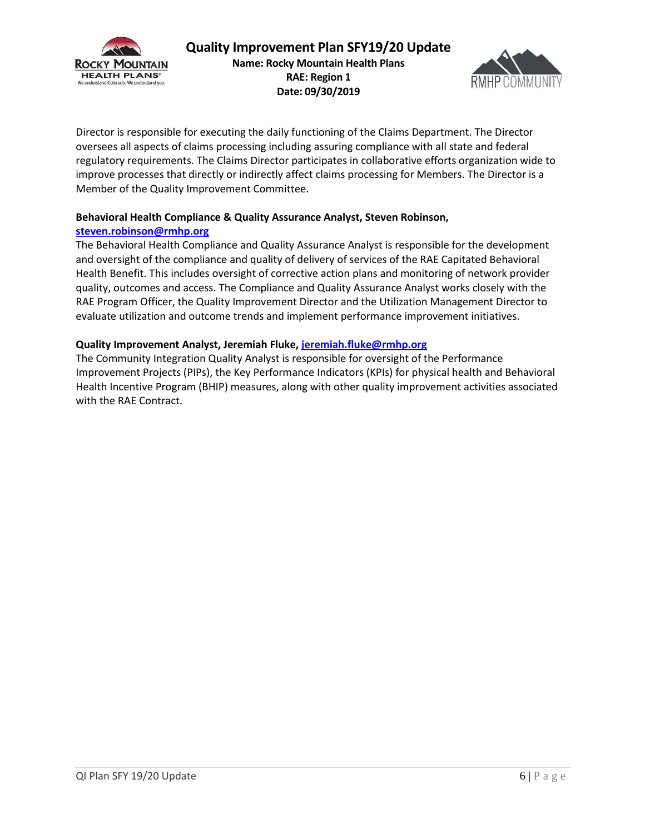



Director is responsible for executing the daily functioning of the Claims Department. The Director oversees all aspects of claims processing including assuring compliance with all state and federal regulatory requirements. The Claims Director participates in collaborative efforts organization wide to improve processes that directly or indirectly affect claims processing for Members. The Director is a Member of the Quality Improvement Committee.

# **Behavioral Health Compliance & Quality Assurance Analyst, Steven Robinson, [steven.robinson@rmhp.org](mailto:steven.robinson@rmhp.org)**

The Behavioral Health Compliance and Quality Assurance Analyst is responsible for the development and oversight of the compliance and quality of delivery of services of the RAE Capitated Behavioral Health Benefit. This includes oversight of corrective action plans and monitoring of network provider quality, outcomes and access. The Compliance and Quality Assurance Analyst works closely with the RAE Program Officer, the Quality Improvement Director and the Utilization Management Director to evaluate utilization and outcome trends and implement performance improvement initiatives.

## **Quality Improvement Analyst, Jeremiah Fluke, jeremiah.fluke@rmhp.org**

The Community Integration Quality Analyst is responsible for oversight of the Performance Improvement Projects (PIPs), the Key Performance Indicators (KPIs) for physical health and Behavioral Health Incentive Program (BHIP) measures, along with other quality improvement activities associated with the RAE Contract.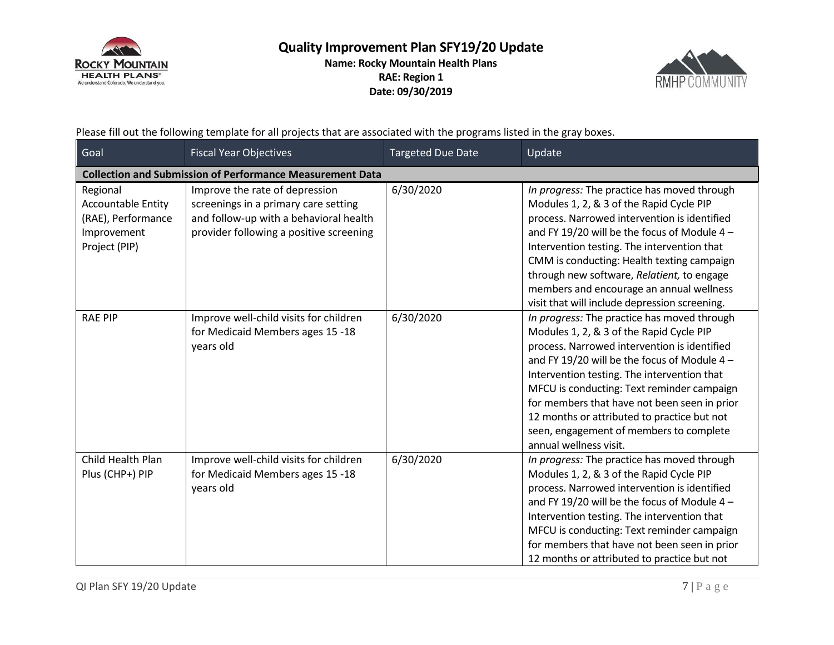

# **Quality Improvement Plan SFY19/20 Update Name: Rocky Mountain Health Plans RAE: Region 1 Date: 09/30/2019**



Please fill out the following template for all projects that are associated with the programs listed in the gray boxes.

| Goal                                                                                        | <b>Fiscal Year Objectives</b>                                                                                                                               | <b>Targeted Due Date</b> | Update                                                                                                                                                                                                                                                                                                                                                                                                                                                   |  |
|---------------------------------------------------------------------------------------------|-------------------------------------------------------------------------------------------------------------------------------------------------------------|--------------------------|----------------------------------------------------------------------------------------------------------------------------------------------------------------------------------------------------------------------------------------------------------------------------------------------------------------------------------------------------------------------------------------------------------------------------------------------------------|--|
| <b>Collection and Submission of Performance Measurement Data</b>                            |                                                                                                                                                             |                          |                                                                                                                                                                                                                                                                                                                                                                                                                                                          |  |
| Regional<br><b>Accountable Entity</b><br>(RAE), Performance<br>Improvement<br>Project (PIP) | Improve the rate of depression<br>screenings in a primary care setting<br>and follow-up with a behavioral health<br>provider following a positive screening | 6/30/2020                | In progress: The practice has moved through<br>Modules 1, 2, & 3 of the Rapid Cycle PIP<br>process. Narrowed intervention is identified<br>and FY 19/20 will be the focus of Module 4 -<br>Intervention testing. The intervention that<br>CMM is conducting: Health texting campaign<br>through new software, Relatient, to engage<br>members and encourage an annual wellness<br>visit that will include depression screening.                          |  |
| <b>RAE PIP</b>                                                                              | Improve well-child visits for children<br>for Medicaid Members ages 15 -18<br>years old                                                                     | 6/30/2020                | In progress: The practice has moved through<br>Modules 1, 2, & 3 of the Rapid Cycle PIP<br>process. Narrowed intervention is identified<br>and FY 19/20 will be the focus of Module 4 -<br>Intervention testing. The intervention that<br>MFCU is conducting: Text reminder campaign<br>for members that have not been seen in prior<br>12 months or attributed to practice but not<br>seen, engagement of members to complete<br>annual wellness visit. |  |
| Child Health Plan<br>Plus (CHP+) PIP                                                        | Improve well-child visits for children<br>for Medicaid Members ages 15 -18<br>years old                                                                     | 6/30/2020                | In progress: The practice has moved through<br>Modules 1, 2, & 3 of the Rapid Cycle PIP<br>process. Narrowed intervention is identified<br>and FY 19/20 will be the focus of Module 4 -<br>Intervention testing. The intervention that<br>MFCU is conducting: Text reminder campaign<br>for members that have not been seen in prior<br>12 months or attributed to practice but not                                                                      |  |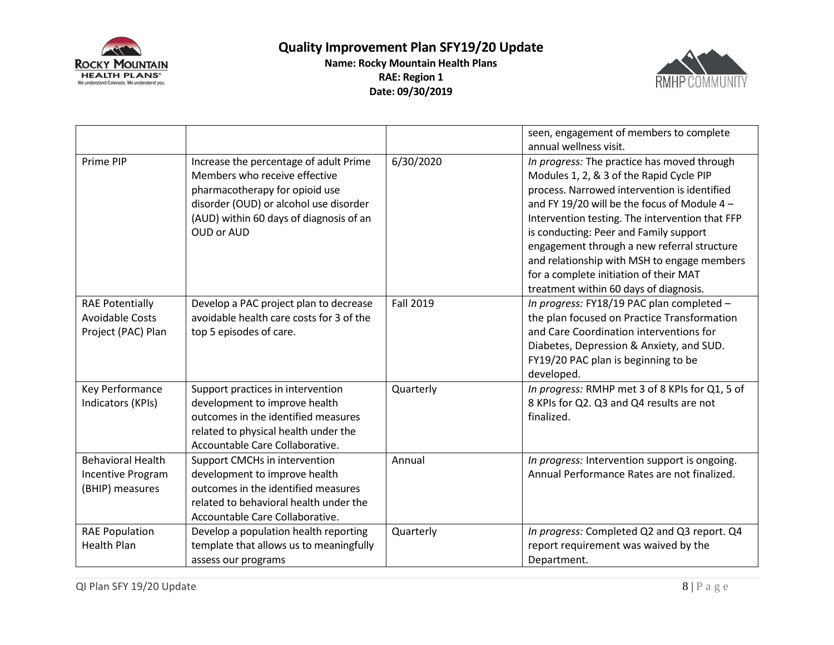



|                                                                        |                                                                                                                                                                                                              |                  | seen, engagement of members to complete<br>annual wellness visit.                                                                                                                                                                                                                                                                                                                                                                                                      |
|------------------------------------------------------------------------|--------------------------------------------------------------------------------------------------------------------------------------------------------------------------------------------------------------|------------------|------------------------------------------------------------------------------------------------------------------------------------------------------------------------------------------------------------------------------------------------------------------------------------------------------------------------------------------------------------------------------------------------------------------------------------------------------------------------|
| Prime PIP                                                              | Increase the percentage of adult Prime<br>Members who receive effective<br>pharmacotherapy for opioid use<br>disorder (OUD) or alcohol use disorder<br>(AUD) within 60 days of diagnosis of an<br>OUD or AUD | 6/30/2020        | In progress: The practice has moved through<br>Modules 1, 2, & 3 of the Rapid Cycle PIP<br>process. Narrowed intervention is identified<br>and FY 19/20 will be the focus of Module 4 -<br>Intervention testing. The intervention that FFP<br>is conducting: Peer and Family support<br>engagement through a new referral structure<br>and relationship with MSH to engage members<br>for a complete initiation of their MAT<br>treatment within 60 days of diagnosis. |
| <b>RAE Potentially</b><br><b>Avoidable Costs</b><br>Project (PAC) Plan | Develop a PAC project plan to decrease<br>avoidable health care costs for 3 of the<br>top 5 episodes of care.                                                                                                | <b>Fall 2019</b> | In progress: FY18/19 PAC plan completed -<br>the plan focused on Practice Transformation<br>and Care Coordination interventions for<br>Diabetes, Depression & Anxiety, and SUD.<br>FY19/20 PAC plan is beginning to be<br>developed.                                                                                                                                                                                                                                   |
| Key Performance<br>Indicators (KPIs)                                   | Support practices in intervention<br>development to improve health<br>outcomes in the identified measures<br>related to physical health under the<br>Accountable Care Collaborative.                         | Quarterly        | In progress: RMHP met 3 of 8 KPIs for Q1, 5 of<br>8 KPIs for Q2. Q3 and Q4 results are not<br>finalized.                                                                                                                                                                                                                                                                                                                                                               |
| <b>Behavioral Health</b><br>Incentive Program<br>(BHIP) measures       | Support CMCHs in intervention<br>development to improve health<br>outcomes in the identified measures<br>related to behavioral health under the<br>Accountable Care Collaborative.                           | Annual           | In progress: Intervention support is ongoing.<br>Annual Performance Rates are not finalized.                                                                                                                                                                                                                                                                                                                                                                           |
| <b>RAE Population</b><br><b>Health Plan</b>                            | Develop a population health reporting<br>template that allows us to meaningfully<br>assess our programs                                                                                                      | Quarterly        | In progress: Completed Q2 and Q3 report. Q4<br>report requirement was waived by the<br>Department.                                                                                                                                                                                                                                                                                                                                                                     |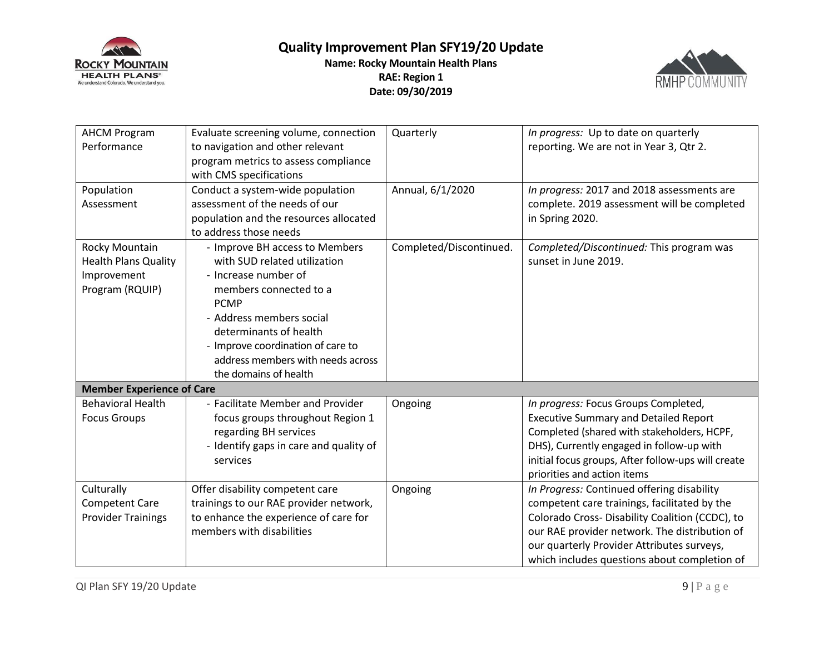



| <b>AHCM Program</b><br>Performance                                              | Evaluate screening volume, connection<br>to navigation and other relevant<br>program metrics to assess compliance<br>with CMS specifications                                                                                                                                             | Quarterly               | In progress: Up to date on quarterly<br>reporting. We are not in Year 3, Qtr 2.                                                                                                                                                                                                              |
|---------------------------------------------------------------------------------|------------------------------------------------------------------------------------------------------------------------------------------------------------------------------------------------------------------------------------------------------------------------------------------|-------------------------|----------------------------------------------------------------------------------------------------------------------------------------------------------------------------------------------------------------------------------------------------------------------------------------------|
| Population<br>Assessment                                                        | Conduct a system-wide population<br>assessment of the needs of our<br>population and the resources allocated<br>to address those needs                                                                                                                                                   | Annual, 6/1/2020        | In progress: 2017 and 2018 assessments are<br>complete. 2019 assessment will be completed<br>in Spring 2020.                                                                                                                                                                                 |
| Rocky Mountain<br><b>Health Plans Quality</b><br>Improvement<br>Program (RQUIP) | - Improve BH access to Members<br>with SUD related utilization<br>- Increase number of<br>members connected to a<br><b>PCMP</b><br>- Address members social<br>determinants of health<br>- Improve coordination of care to<br>address members with needs across<br>the domains of health | Completed/Discontinued. | Completed/Discontinued: This program was<br>sunset in June 2019.                                                                                                                                                                                                                             |
| <b>Member Experience of Care</b>                                                |                                                                                                                                                                                                                                                                                          |                         |                                                                                                                                                                                                                                                                                              |
| <b>Behavioral Health</b><br><b>Focus Groups</b>                                 | - Facilitate Member and Provider<br>focus groups throughout Region 1<br>regarding BH services<br>- Identify gaps in care and quality of<br>services                                                                                                                                      | Ongoing                 | In progress: Focus Groups Completed,<br><b>Executive Summary and Detailed Report</b><br>Completed (shared with stakeholders, HCPF,<br>DHS), Currently engaged in follow-up with<br>initial focus groups, After follow-ups will create<br>priorities and action items                         |
| Culturally<br><b>Competent Care</b><br><b>Provider Trainings</b>                | Offer disability competent care<br>trainings to our RAE provider network,<br>to enhance the experience of care for<br>members with disabilities                                                                                                                                          | Ongoing                 | In Progress: Continued offering disability<br>competent care trainings, facilitated by the<br>Colorado Cross- Disability Coalition (CCDC), to<br>our RAE provider network. The distribution of<br>our quarterly Provider Attributes surveys,<br>which includes questions about completion of |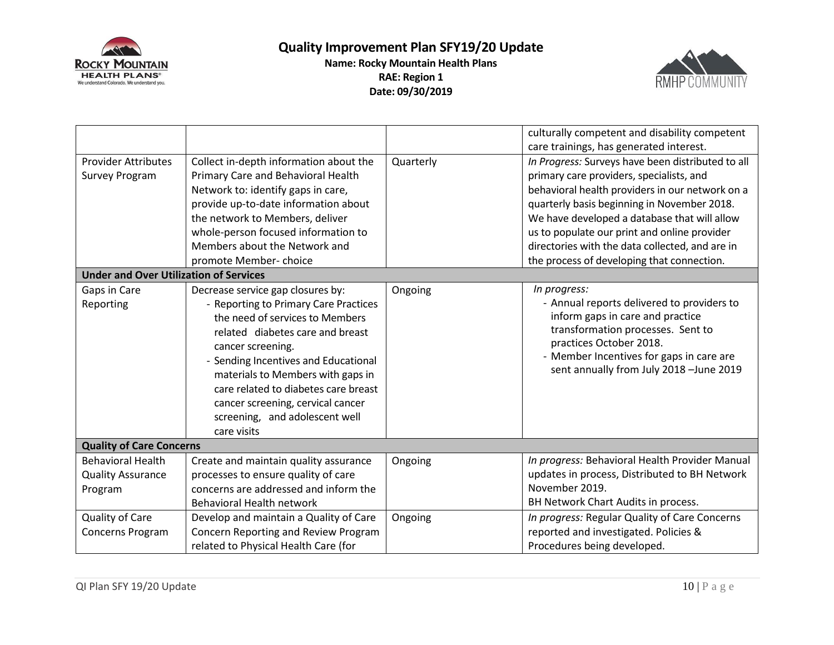



| <b>Provider Attributes</b><br><b>Survey Program</b>             | Collect in-depth information about the<br>Primary Care and Behavioral Health<br>Network to: identify gaps in care,<br>provide up-to-date information about<br>the network to Members, deliver                                                                                                                                                                                     | Quarterly | culturally competent and disability competent<br>care trainings, has generated interest.<br>In Progress: Surveys have been distributed to all<br>primary care providers, specialists, and<br>behavioral health providers in our network on a<br>quarterly basis beginning in November 2018.<br>We have developed a database that will allow |
|-----------------------------------------------------------------|-----------------------------------------------------------------------------------------------------------------------------------------------------------------------------------------------------------------------------------------------------------------------------------------------------------------------------------------------------------------------------------|-----------|---------------------------------------------------------------------------------------------------------------------------------------------------------------------------------------------------------------------------------------------------------------------------------------------------------------------------------------------|
|                                                                 | whole-person focused information to<br>Members about the Network and                                                                                                                                                                                                                                                                                                              |           | us to populate our print and online provider<br>directories with the data collected, and are in                                                                                                                                                                                                                                             |
|                                                                 | promote Member-choice                                                                                                                                                                                                                                                                                                                                                             |           | the process of developing that connection.                                                                                                                                                                                                                                                                                                  |
| <b>Under and Over Utilization of Services</b>                   |                                                                                                                                                                                                                                                                                                                                                                                   |           |                                                                                                                                                                                                                                                                                                                                             |
| Gaps in Care<br>Reporting                                       | Decrease service gap closures by:<br>- Reporting to Primary Care Practices<br>the need of services to Members<br>related diabetes care and breast<br>cancer screening.<br>- Sending Incentives and Educational<br>materials to Members with gaps in<br>care related to diabetes care breast<br>cancer screening, cervical cancer<br>screening, and adolescent well<br>care visits | Ongoing   | In progress:<br>- Annual reports delivered to providers to<br>inform gaps in care and practice<br>transformation processes. Sent to<br>practices October 2018.<br>- Member Incentives for gaps in care are<br>sent annually from July 2018 -June 2019                                                                                       |
| <b>Quality of Care Concerns</b>                                 |                                                                                                                                                                                                                                                                                                                                                                                   |           |                                                                                                                                                                                                                                                                                                                                             |
| <b>Behavioral Health</b><br><b>Quality Assurance</b><br>Program | Create and maintain quality assurance<br>processes to ensure quality of care<br>concerns are addressed and inform the<br><b>Behavioral Health network</b>                                                                                                                                                                                                                         | Ongoing   | In progress: Behavioral Health Provider Manual<br>updates in process, Distributed to BH Network<br>November 2019.<br>BH Network Chart Audits in process.                                                                                                                                                                                    |
| Quality of Care<br>Concerns Program                             | Develop and maintain a Quality of Care<br>Concern Reporting and Review Program<br>related to Physical Health Care (for                                                                                                                                                                                                                                                            | Ongoing   | In progress: Regular Quality of Care Concerns<br>reported and investigated. Policies &<br>Procedures being developed.                                                                                                                                                                                                                       |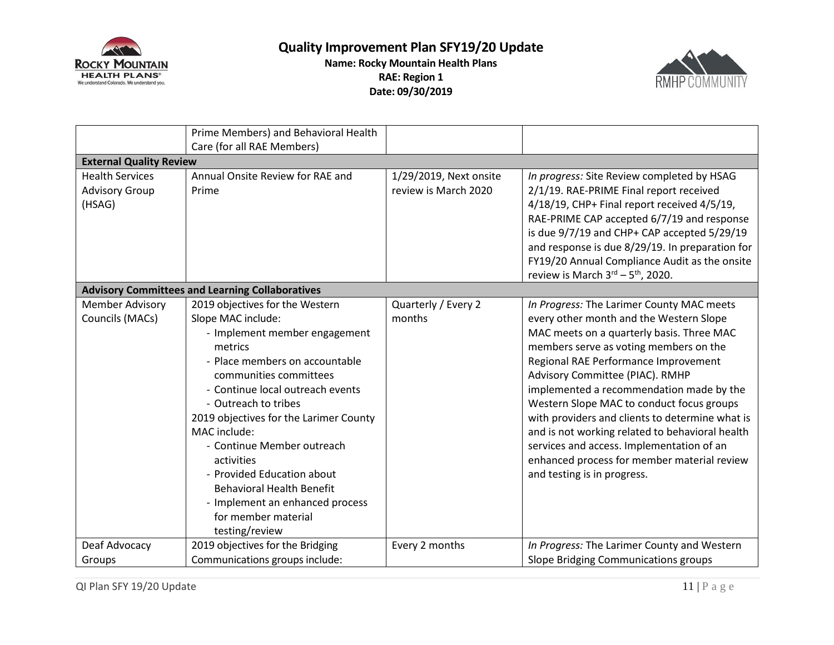



|                                                           | Prime Members) and Behavioral Health<br>Care (for all RAE Members)                                                                                                                                                                                                                                                                                                                                                                                                            |                                                |                                                                                                                                                                                                                                                                                                                                                                                                                                                                                                                                                                                  |  |
|-----------------------------------------------------------|-------------------------------------------------------------------------------------------------------------------------------------------------------------------------------------------------------------------------------------------------------------------------------------------------------------------------------------------------------------------------------------------------------------------------------------------------------------------------------|------------------------------------------------|----------------------------------------------------------------------------------------------------------------------------------------------------------------------------------------------------------------------------------------------------------------------------------------------------------------------------------------------------------------------------------------------------------------------------------------------------------------------------------------------------------------------------------------------------------------------------------|--|
| <b>External Quality Review</b>                            |                                                                                                                                                                                                                                                                                                                                                                                                                                                                               |                                                |                                                                                                                                                                                                                                                                                                                                                                                                                                                                                                                                                                                  |  |
| <b>Health Services</b><br><b>Advisory Group</b><br>(HSAG) | Annual Onsite Review for RAE and<br>Prime                                                                                                                                                                                                                                                                                                                                                                                                                                     | 1/29/2019, Next onsite<br>review is March 2020 | In progress: Site Review completed by HSAG<br>2/1/19. RAE-PRIME Final report received<br>4/18/19, CHP+ Final report received 4/5/19,<br>RAE-PRIME CAP accepted 6/7/19 and response<br>is due 9/7/19 and CHP+ CAP accepted 5/29/19<br>and response is due 8/29/19. In preparation for<br>FY19/20 Annual Compliance Audit as the onsite<br>review is March $3^{\text{rd}} - 5^{\text{th}}$ , 2020.                                                                                                                                                                                 |  |
|                                                           | <b>Advisory Committees and Learning Collaboratives</b>                                                                                                                                                                                                                                                                                                                                                                                                                        |                                                |                                                                                                                                                                                                                                                                                                                                                                                                                                                                                                                                                                                  |  |
| <b>Member Advisory</b><br>Councils (MACs)                 | 2019 objectives for the Western<br>Slope MAC include:<br>- Implement member engagement<br>metrics<br>- Place members on accountable<br>communities committees<br>- Continue local outreach events<br>- Outreach to tribes<br>2019 objectives for the Larimer County<br>MAC include:<br>- Continue Member outreach<br>activities<br>- Provided Education about<br><b>Behavioral Health Benefit</b><br>- Implement an enhanced process<br>for member material<br>testing/review | Quarterly / Every 2<br>months                  | In Progress: The Larimer County MAC meets<br>every other month and the Western Slope<br>MAC meets on a quarterly basis. Three MAC<br>members serve as voting members on the<br>Regional RAE Performance Improvement<br>Advisory Committee (PIAC). RMHP<br>implemented a recommendation made by the<br>Western Slope MAC to conduct focus groups<br>with providers and clients to determine what is<br>and is not working related to behavioral health<br>services and access. Implementation of an<br>enhanced process for member material review<br>and testing is in progress. |  |
| Deaf Advocacy                                             | 2019 objectives for the Bridging                                                                                                                                                                                                                                                                                                                                                                                                                                              | Every 2 months                                 | In Progress: The Larimer County and Western                                                                                                                                                                                                                                                                                                                                                                                                                                                                                                                                      |  |
| Groups                                                    | Communications groups include:                                                                                                                                                                                                                                                                                                                                                                                                                                                |                                                | Slope Bridging Communications groups                                                                                                                                                                                                                                                                                                                                                                                                                                                                                                                                             |  |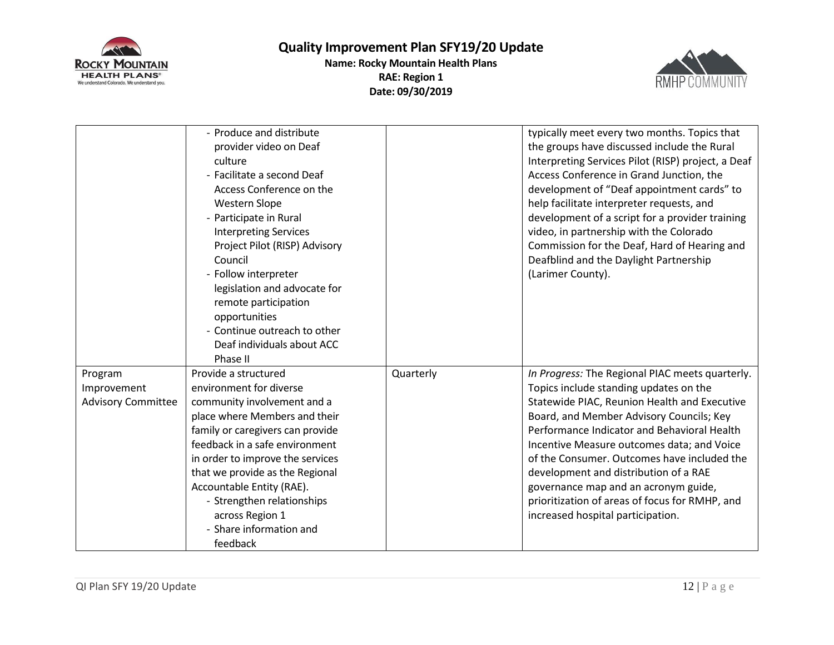

**Quality Improvement Plan SFY19/20 Update Name: Rocky Mountain Health Plans**

**RAE: Region 1 Date: 09/30/2019**



|                                                     | - Produce and distribute<br>provider video on Deaf<br>culture<br>- Facilitate a second Deaf<br>Access Conference on the<br>Western Slope<br>- Participate in Rural<br><b>Interpreting Services</b><br>Project Pilot (RISP) Advisory<br>Council<br>- Follow interpreter<br>legislation and advocate for<br>remote participation<br>opportunities<br>- Continue outreach to other<br>Deaf individuals about ACC<br>Phase II |           | typically meet every two months. Topics that<br>the groups have discussed include the Rural<br>Interpreting Services Pilot (RISP) project, a Deaf<br>Access Conference in Grand Junction, the<br>development of "Deaf appointment cards" to<br>help facilitate interpreter requests, and<br>development of a script for a provider training<br>video, in partnership with the Colorado<br>Commission for the Deaf, Hard of Hearing and<br>Deafblind and the Daylight Partnership<br>(Larimer County).     |
|-----------------------------------------------------|---------------------------------------------------------------------------------------------------------------------------------------------------------------------------------------------------------------------------------------------------------------------------------------------------------------------------------------------------------------------------------------------------------------------------|-----------|-----------------------------------------------------------------------------------------------------------------------------------------------------------------------------------------------------------------------------------------------------------------------------------------------------------------------------------------------------------------------------------------------------------------------------------------------------------------------------------------------------------|
| Program<br>Improvement<br><b>Advisory Committee</b> | Provide a structured<br>environment for diverse<br>community involvement and a<br>place where Members and their<br>family or caregivers can provide<br>feedback in a safe environment<br>in order to improve the services<br>that we provide as the Regional<br>Accountable Entity (RAE).<br>- Strengthen relationships<br>across Region 1<br>- Share information and<br>feedback                                         | Quarterly | In Progress: The Regional PIAC meets quarterly.<br>Topics include standing updates on the<br>Statewide PIAC, Reunion Health and Executive<br>Board, and Member Advisory Councils; Key<br>Performance Indicator and Behavioral Health<br>Incentive Measure outcomes data; and Voice<br>of the Consumer. Outcomes have included the<br>development and distribution of a RAE<br>governance map and an acronym guide,<br>prioritization of areas of focus for RMHP, and<br>increased hospital participation. |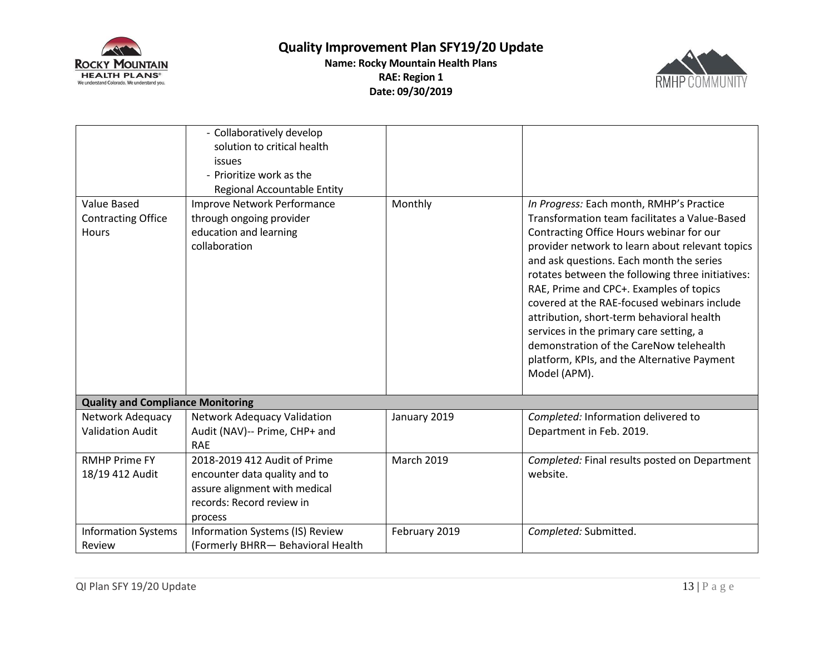



| <b>Value Based</b><br><b>Contracting Office</b><br>Hours | - Collaboratively develop<br>solution to critical health<br>issues<br>- Prioritize work as the<br>Regional Accountable Entity<br>Improve Network Performance<br>through ongoing provider<br>education and learning<br>collaboration | Monthly           | In Progress: Each month, RMHP's Practice<br>Transformation team facilitates a Value-Based<br>Contracting Office Hours webinar for our<br>provider network to learn about relevant topics<br>and ask questions. Each month the series<br>rotates between the following three initiatives:<br>RAE, Prime and CPC+. Examples of topics<br>covered at the RAE-focused webinars include<br>attribution, short-term behavioral health<br>services in the primary care setting, a<br>demonstration of the CareNow telehealth<br>platform, KPIs, and the Alternative Payment<br>Model (APM). |
|----------------------------------------------------------|-------------------------------------------------------------------------------------------------------------------------------------------------------------------------------------------------------------------------------------|-------------------|--------------------------------------------------------------------------------------------------------------------------------------------------------------------------------------------------------------------------------------------------------------------------------------------------------------------------------------------------------------------------------------------------------------------------------------------------------------------------------------------------------------------------------------------------------------------------------------|
| <b>Quality and Compliance Monitoring</b>                 |                                                                                                                                                                                                                                     |                   |                                                                                                                                                                                                                                                                                                                                                                                                                                                                                                                                                                                      |
| Network Adequacy<br><b>Validation Audit</b>              | Network Adequacy Validation<br>Audit (NAV)-- Prime, CHP+ and<br><b>RAE</b>                                                                                                                                                          | January 2019      | Completed: Information delivered to<br>Department in Feb. 2019.                                                                                                                                                                                                                                                                                                                                                                                                                                                                                                                      |
| <b>RMHP Prime FY</b><br>18/19 412 Audit                  | 2018-2019 412 Audit of Prime<br>encounter data quality and to<br>assure alignment with medical<br>records: Record review in<br>process                                                                                              | <b>March 2019</b> | Completed: Final results posted on Department<br>website.                                                                                                                                                                                                                                                                                                                                                                                                                                                                                                                            |
| <b>Information Systems</b><br>Review                     | Information Systems (IS) Review<br>(Formerly BHRR- Behavioral Health                                                                                                                                                                | February 2019     | Completed: Submitted.                                                                                                                                                                                                                                                                                                                                                                                                                                                                                                                                                                |